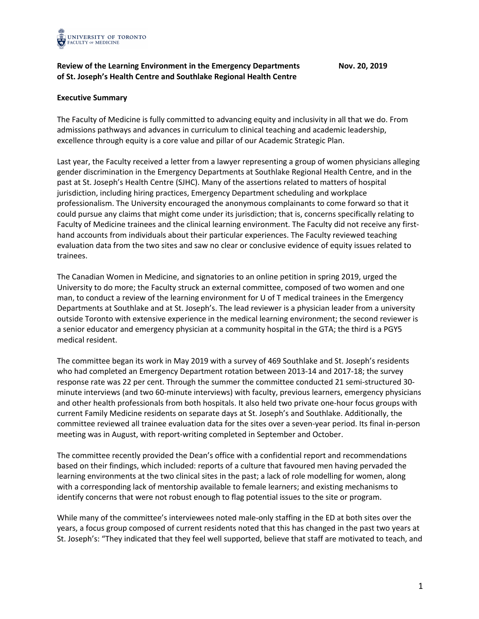

## **Review of the Learning Environment in the Emergency Departments Nov. 20, 2019 of St. Joseph's Health Centre and Southlake Regional Health Centre**

## **Executive Summary**

The Faculty of Medicine is fully committed to advancing equity and inclusivity in all that we do. From admissions pathways and advances in curriculum to clinical teaching and academic leadership, excellence through equity is a core value and pillar of our Academic Strategic Plan.

Last year, the Faculty received a letter from a lawyer representing a group of women physicians alleging gender discrimination in the Emergency Departments at Southlake Regional Health Centre, and in the past at St. Joseph's Health Centre (SJHC). Many of the assertions related to matters of hospital jurisdiction, including hiring practices, Emergency Department scheduling and workplace professionalism. The University encouraged the anonymous complainants to come forward so that it could pursue any claims that might come under its jurisdiction; that is, concerns specifically relating to Faculty of Medicine trainees and the clinical learning environment. The Faculty did not receive any firsthand accounts from individuals about their particular experiences. The Faculty reviewed teaching evaluation data from the two sites and saw no clear or conclusive evidence of equity issues related to trainees.

The Canadian Women in Medicine, and signatories to an online petition in spring 2019, urged the University to do more; the Faculty struck an external committee, composed of two women and one man, to conduct a review of the learning environment for U of T medical trainees in the Emergency Departments at Southlake and at St. Joseph's. The lead reviewer is a physician leader from a university outside Toronto with extensive experience in the medical learning environment; the second reviewer is a senior educator and emergency physician at a community hospital in the GTA; the third is a PGY5 medical resident.

The committee began its work in May 2019 with a survey of 469 Southlake and St. Joseph's residents who had completed an Emergency Department rotation between 2013-14 and 2017-18; the survey response rate was 22 per cent. Through the summer the committee conducted 21 semi-structured 30 minute interviews (and two 60-minute interviews) with faculty, previous learners, emergency physicians and other health professionals from both hospitals. It also held two private one-hour focus groups with current Family Medicine residents on separate days at St. Joseph's and Southlake. Additionally, the committee reviewed all trainee evaluation data for the sites over a seven-year period. Its final in-person meeting was in August, with report-writing completed in September and October.

The committee recently provided the Dean's office with a confidential report and recommendations based on their findings, which included: reports of a culture that favoured men having pervaded the learning environments at the two clinical sites in the past; a lack of role modelling for women, along with a corresponding lack of mentorship available to female learners; and existing mechanisms to identify concerns that were not robust enough to flag potential issues to the site or program.

While many of the committee's interviewees noted male-only staffing in the ED at both sites over the years, a focus group composed of current residents noted that this has changed in the past two years at St. Joseph's: "They indicated that they feel well supported, believe that staff are motivated to teach, and